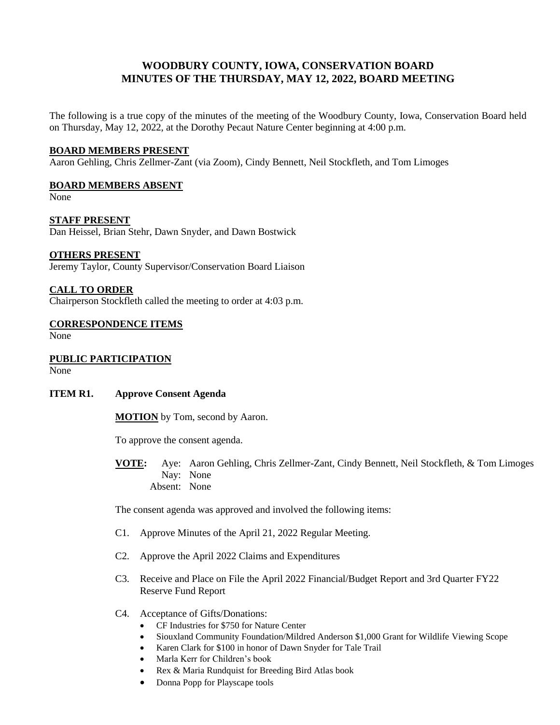# **WOODBURY COUNTY, IOWA, CONSERVATION BOARD MINUTES OF THE THURSDAY, MAY 12, 2022, BOARD MEETING**

The following is a true copy of the minutes of the meeting of the Woodbury County, Iowa, Conservation Board held on Thursday, May 12, 2022, at the Dorothy Pecaut Nature Center beginning at 4:00 p.m.

## **BOARD MEMBERS PRESENT**

Aaron Gehling, Chris Zellmer-Zant (via Zoom), Cindy Bennett, Neil Stockfleth, and Tom Limoges

#### **BOARD MEMBERS ABSENT**

None

**STAFF PRESENT** Dan Heissel, Brian Stehr, Dawn Snyder, and Dawn Bostwick

#### **OTHERS PRESENT**

Jeremy Taylor, County Supervisor/Conservation Board Liaison

### **CALL TO ORDER**

Chairperson Stockfleth called the meeting to order at 4:03 p.m.

#### **CORRESPONDENCE ITEMS** None

## **PUBLIC PARTICIPATION**

None

#### **ITEM R1. Approve Consent Agenda**

**MOTION** by Tom, second by Aaron.

To approve the consent agenda.

**VOTE:** Aye: Aaron Gehling, Chris Zellmer-Zant, Cindy Bennett, Neil Stockfleth, & Tom Limoges Nay: None Absent: None

The consent agenda was approved and involved the following items:

- C1. Approve Minutes of the April 21, 2022 Regular Meeting.
- C2. Approve the April 2022 Claims and Expenditures
- C3. Receive and Place on File the April 2022 Financial/Budget Report and 3rd Quarter FY22 Reserve Fund Report
- C4. Acceptance of Gifts/Donations:
	- CF Industries for \$750 for Nature Center
	- Siouxland Community Foundation/Mildred Anderson \$1,000 Grant for Wildlife Viewing Scope
	- Karen Clark for \$100 in honor of Dawn Snyder for Tale Trail
	- Marla Kerr for Children's book
	- Rex & Maria Rundquist for Breeding Bird Atlas book
	- Donna Popp for Playscape tools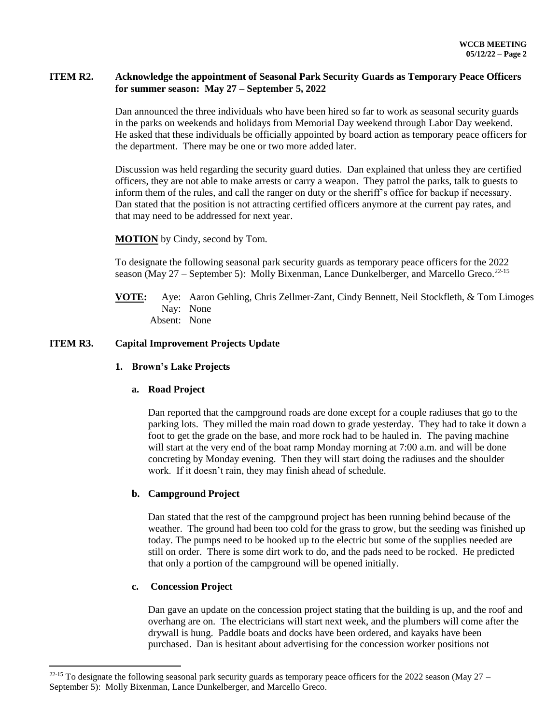## **ITEM R2. Acknowledge the appointment of Seasonal Park Security Guards as Temporary Peace Officers for summer season: May 27 – September 5, 2022**

Dan announced the three individuals who have been hired so far to work as seasonal security guards in the parks on weekends and holidays from Memorial Day weekend through Labor Day weekend. He asked that these individuals be officially appointed by board action as temporary peace officers for the department. There may be one or two more added later.

Discussion was held regarding the security guard duties. Dan explained that unless they are certified officers, they are not able to make arrests or carry a weapon. They patrol the parks, talk to guests to inform them of the rules, and call the ranger on duty or the sheriff's office for backup if necessary. Dan stated that the position is not attracting certified officers anymore at the current pay rates, and that may need to be addressed for next year.

**MOTION** by Cindy, second by Tom.

To designate the following seasonal park security guards as temporary peace officers for the 2022 season (May  $27$  – September 5): Molly Bixenman, Lance Dunkelberger, and Marcello Greco.<sup>22-15</sup>

**VOTE:** Aye: Aaron Gehling, Chris Zellmer-Zant, Cindy Bennett, Neil Stockfleth, & Tom Limoges Nay: None Absent: None

### **ITEM R3. Capital Improvement Projects Update**

#### **1. Brown's Lake Projects**

#### **a. Road Project**

Dan reported that the campground roads are done except for a couple radiuses that go to the parking lots. They milled the main road down to grade yesterday. They had to take it down a foot to get the grade on the base, and more rock had to be hauled in. The paving machine will start at the very end of the boat ramp Monday morning at 7:00 a.m. and will be done concreting by Monday evening. Then they will start doing the radiuses and the shoulder work. If it doesn't rain, they may finish ahead of schedule.

## **b. Campground Project**

Dan stated that the rest of the campground project has been running behind because of the weather. The ground had been too cold for the grass to grow, but the seeding was finished up today. The pumps need to be hooked up to the electric but some of the supplies needed are still on order. There is some dirt work to do, and the pads need to be rocked. He predicted that only a portion of the campground will be opened initially.

#### **c. Concession Project**

 $\overline{a}$ 

Dan gave an update on the concession project stating that the building is up, and the roof and overhang are on. The electricians will start next week, and the plumbers will come after the drywall is hung. Paddle boats and docks have been ordered, and kayaks have been purchased. Dan is hesitant about advertising for the concession worker positions not

<sup>&</sup>lt;sup>22-15</sup> To designate the following seasonal park security guards as temporary peace officers for the 2022 season (May 27 – September 5): Molly Bixenman, Lance Dunkelberger, and Marcello Greco.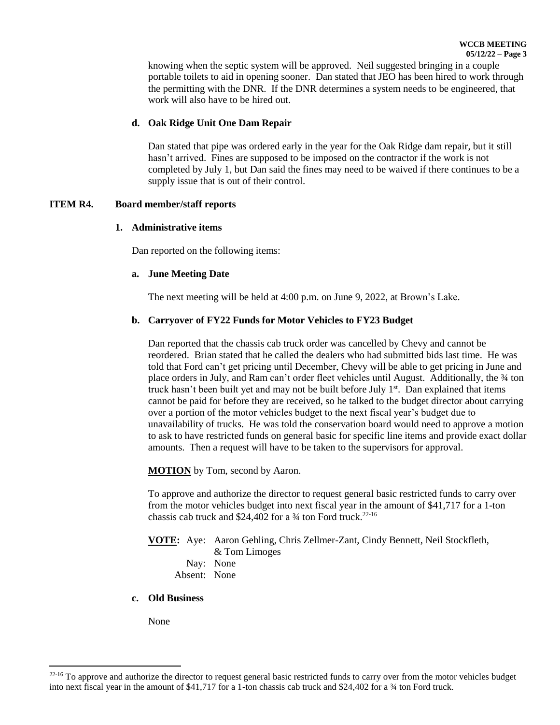knowing when the septic system will be approved. Neil suggested bringing in a couple portable toilets to aid in opening sooner. Dan stated that JEO has been hired to work through the permitting with the DNR. If the DNR determines a system needs to be engineered, that work will also have to be hired out.

## **d. Oak Ridge Unit One Dam Repair**

Dan stated that pipe was ordered early in the year for the Oak Ridge dam repair, but it still hasn't arrived. Fines are supposed to be imposed on the contractor if the work is not completed by July 1, but Dan said the fines may need to be waived if there continues to be a supply issue that is out of their control.

### **ITEM R4. Board member/staff reports**

### **1. Administrative items**

Dan reported on the following items:

### **a. June Meeting Date**

The next meeting will be held at 4:00 p.m. on June 9, 2022, at Brown's Lake.

## **b. Carryover of FY22 Funds for Motor Vehicles to FY23 Budget**

Dan reported that the chassis cab truck order was cancelled by Chevy and cannot be reordered. Brian stated that he called the dealers who had submitted bids last time. He was told that Ford can't get pricing until December, Chevy will be able to get pricing in June and place orders in July, and Ram can't order fleet vehicles until August. Additionally, the 34 ton truck hasn't been built yet and may not be built before July 1<sup>st</sup>. Dan explained that items cannot be paid for before they are received, so he talked to the budget director about carrying over a portion of the motor vehicles budget to the next fiscal year's budget due to unavailability of trucks. He was told the conservation board would need to approve a motion to ask to have restricted funds on general basic for specific line items and provide exact dollar amounts. Then a request will have to be taken to the supervisors for approval.

**MOTION** by Tom, second by Aaron.

To approve and authorize the director to request general basic restricted funds to carry over from the motor vehicles budget into next fiscal year in the amount of \$41,717 for a 1-ton chassis cab truck and  $$24,402$  for a  $\frac{3}{4}$  ton Ford truck.<sup>22-16</sup>

#### **VOTE:** Aye: Aaron Gehling, Chris Zellmer-Zant, Cindy Bennett, Neil Stockfleth, & Tom Limoges

- Nay: None
- Absent: None

#### **c. Old Business**

None

 $\overline{a}$ 

<sup>&</sup>lt;sup>22-16</sup> To approve and authorize the director to request general basic restricted funds to carry over from the motor vehicles budget into next fiscal year in the amount of \$41,717 for a 1-ton chassis cab truck and \$24,402 for a ¾ ton Ford truck.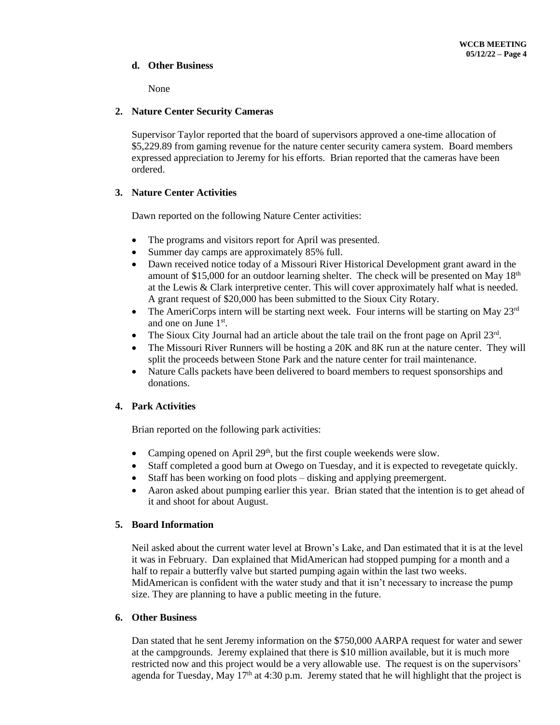## **d. Other Business**

None

## **2. Nature Center Security Cameras**

Supervisor Taylor reported that the board of supervisors approved a one-time allocation of \$5,229.89 from gaming revenue for the nature center security camera system. Board members expressed appreciation to Jeremy for his efforts. Brian reported that the cameras have been ordered.

## **3. Nature Center Activities**

Dawn reported on the following Nature Center activities:

- The programs and visitors report for April was presented.
- Summer day camps are approximately 85% full.
- Dawn received notice today of a Missouri River Historical Development grant award in the amount of \$15,000 for an outdoor learning shelter. The check will be presented on May  $18<sup>th</sup>$ at the Lewis & Clark interpretive center. This will cover approximately half what is needed. A grant request of \$20,000 has been submitted to the Sioux City Rotary.
- The AmeriCorps intern will be starting next week. Four interns will be starting on May  $23<sup>rd</sup>$ and one on June 1<sup>st</sup>.
- The Sioux City Journal had an article about the tale trail on the front page on April 23<sup>rd</sup>.
- The Missouri River Runners will be hosting a 20K and 8K run at the nature center. They will split the proceeds between Stone Park and the nature center for trail maintenance.
- Nature Calls packets have been delivered to board members to request sponsorships and donations.

# **4. Park Activities**

Brian reported on the following park activities:

- Camping opened on April  $29<sup>th</sup>$ , but the first couple weekends were slow.
- Staff completed a good burn at Owego on Tuesday, and it is expected to revegetate quickly.
- Staff has been working on food plots disking and applying preemergent.
- Aaron asked about pumping earlier this year. Brian stated that the intention is to get ahead of it and shoot for about August.

## **5. Board Information**

Neil asked about the current water level at Brown's Lake, and Dan estimated that it is at the level it was in February. Dan explained that MidAmerican had stopped pumping for a month and a half to repair a butterfly valve but started pumping again within the last two weeks. MidAmerican is confident with the water study and that it isn't necessary to increase the pump size. They are planning to have a public meeting in the future.

## **6. Other Business**

Dan stated that he sent Jeremy information on the \$750,000 AARPA request for water and sewer at the campgrounds. Jeremy explained that there is \$10 million available, but it is much more restricted now and this project would be a very allowable use. The request is on the supervisors' agenda for Tuesday, May  $17<sup>th</sup>$  at 4:30 p.m. Jeremy stated that he will highlight that the project is